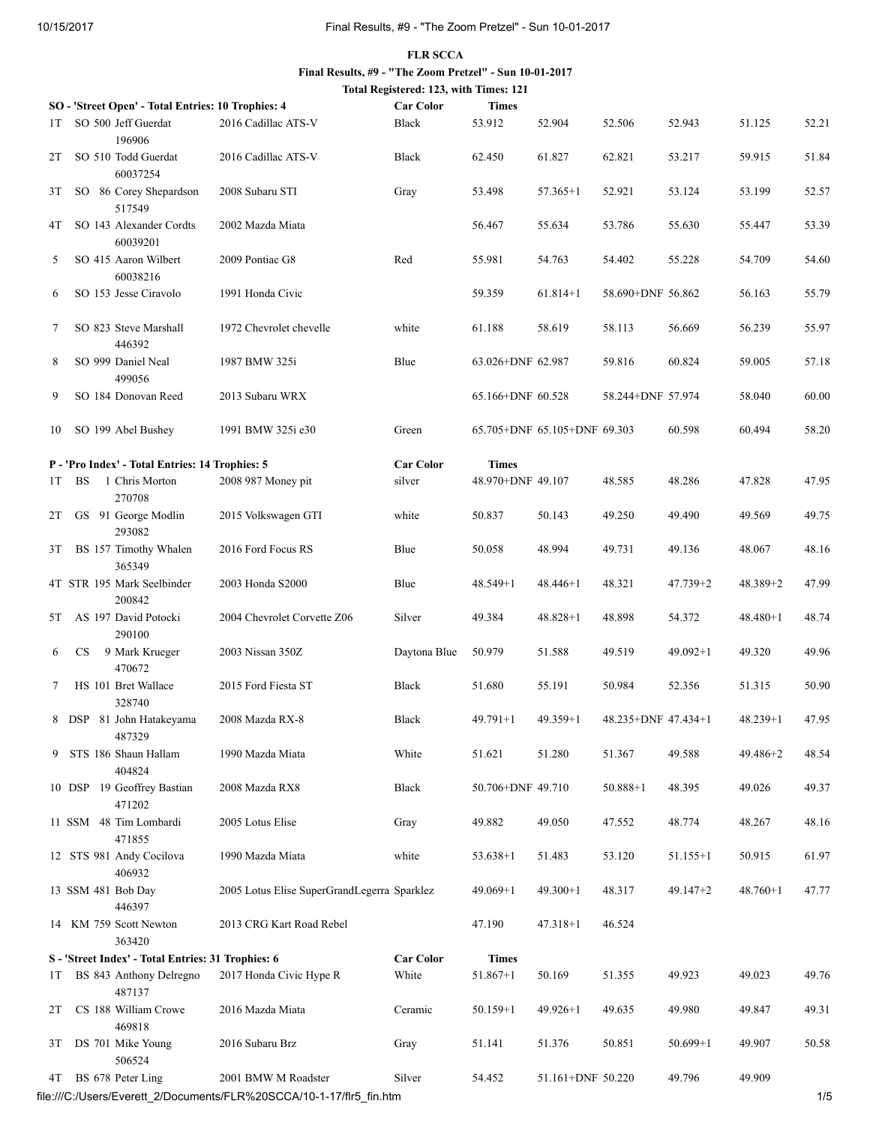## FLR SCCA Final Results, #9 - "The Zoom Pretzel" - Sun 10-01-2017 Total Registered: 123, with Times: 121

|      |           | SO - 'Street Open' - Total Entries: 10 Trophies: 4 |                                             | <b>Car Color</b> | <b>Times</b>      |                              |                     |              |              |       |
|------|-----------|----------------------------------------------------|---------------------------------------------|------------------|-------------------|------------------------------|---------------------|--------------|--------------|-------|
| 1T   |           | SO 500 Jeff Guerdat<br>196906                      | 2016 Cadillac ATS-V                         | Black            | 53.912            | 52.904                       | 52.506              | 52.943       | 51.125       | 52.21 |
| 2T   |           | SO 510 Todd Guerdat<br>60037254                    | 2016 Cadillac ATS-V                         | Black            | 62.450            | 61.827                       | 62.821              | 53.217       | 59.915       | 51.84 |
| 3T   |           | SO 86 Corey Shepardson<br>517549                   | 2008 Subaru STI                             | Gray             | 53.498            | $57.365 + 1$                 | 52.921              | 53.124       | 53.199       | 52.57 |
| 4T   |           | SO 143 Alexander Cordts<br>60039201                | 2002 Mazda Miata                            |                  | 56.467            | 55.634                       | 53.786              | 55.630       | 55.447       | 53.39 |
| 5    |           | SO 415 Aaron Wilbert<br>60038216                   | 2009 Pontiac G8                             | Red              | 55.981            | 54.763                       | 54.402              | 55.228       | 54.709       | 54.60 |
| 6    |           | SO 153 Jesse Ciravolo                              | 1991 Honda Civic                            |                  | 59.359            | $61.814 + 1$                 | 58.690+DNF 56.862   |              | 56.163       | 55.79 |
| 7    |           | SO 823 Steve Marshall<br>446392                    | 1972 Chevrolet chevelle                     | white            | 61.188            | 58.619                       | 58.113              | 56.669       | 56.239       | 55.97 |
| 8    |           | SO 999 Daniel Neal<br>499056                       | 1987 BMW 325i                               | Blue             | 63.026+DNF 62.987 |                              | 59.816              | 60.824       | 59.005       | 57.18 |
| 9    |           | SO 184 Donovan Reed                                | 2013 Subaru WRX                             |                  | 65.166+DNF 60.528 |                              | 58.244+DNF 57.974   |              | 58.040       | 60.00 |
| 10   |           | SO 199 Abel Bushey                                 | 1991 BMW 325i e30                           | Green            |                   | 65.705+DNF 65.105+DNF 69.303 |                     | 60.598       | 60.494       | 58.20 |
|      |           | P - 'Pro Index' - Total Entries: 14 Trophies: 5    |                                             | <b>Car Color</b> | <b>Times</b>      |                              |                     |              |              |       |
| 1T   | <b>BS</b> | 1 Chris Morton<br>270708                           | 2008 987 Money pit                          | silver           | 48.970+DNF 49.107 |                              | 48.585              | 48.286       | 47.828       | 47.95 |
| 2T   |           | GS 91 George Modlin<br>293082                      | 2015 Volkswagen GTI                         | white            | 50.837            | 50.143                       | 49.250              | 49.490       | 49.569       | 49.75 |
| 3T   |           | BS 157 Timothy Whalen<br>365349                    | 2016 Ford Focus RS                          | Blue             | 50.058            | 48.994                       | 49.731              | 49.136       | 48.067       | 48.16 |
|      |           | 4T STR 195 Mark Seelbinder<br>200842               | 2003 Honda S2000                            | Blue             | 48.549+1          | $48.446 + 1$                 | 48.321              | $47.739 + 2$ | $48.389 + 2$ | 47.99 |
| 5T   |           | AS 197 David Potocki<br>290100                     | 2004 Chevrolet Corvette Z06                 | Silver           | 49.384            | $48.828 + 1$                 | 48.898              | 54.372       | $48.480 + 1$ | 48.74 |
| 6    | CS.       | 9 Mark Krueger<br>470672                           | 2003 Nissan 350Z                            | Daytona Blue     | 50.979            | 51.588                       | 49.519              | $49.092 + 1$ | 49.320       | 49.96 |
| 7    |           | HS 101 Bret Wallace<br>328740                      | 2015 Ford Fiesta ST                         | Black            | 51.680            | 55.191                       | 50.984              | 52.356       | 51.315       | 50.90 |
|      |           | 8 DSP 81 John Hatakeyama<br>487329                 | 2008 Mazda RX-8                             | Black            | $49.791 + 1$      | $49.359 + 1$                 | 48.235+DNF 47.434+1 |              | $48.239 + 1$ | 47.95 |
|      |           | 9 STS 186 Shaun Hallam<br>404824                   | 1990 Mazda Miata                            | White            | 51.621            | 51.280                       | 51.367              | 49.588       | 49.486+2     | 48.54 |
|      |           | 10 DSP 19 Geoffrey Bastian<br>471202               | 2008 Mazda RX8                              | Black            | 50.706+DNF 49.710 |                              | $50.888 + 1$        | 48.395       | 49.026       | 49.37 |
|      |           | 11 SSM 48 Tim Lombardi<br>471855                   | 2005 Lotus Elise                            | Gray             | 49.882            | 49.050                       | 47.552              | 48.774       | 48.267       | 48.16 |
|      |           | 12 STS 981 Andy Cocilova<br>406932                 | 1990 Mazda Miata                            | white            | $53.638 + 1$      | 51.483                       | 53.120              | $51.155 + 1$ | 50.915       | 61.97 |
|      |           | 13 SSM 481 Bob Day<br>446397                       | 2005 Lotus Elise SuperGrandLegerra Sparklez |                  | $49.069 + 1$      | $49.300+1$                   | 48.317              | $49.147 + 2$ | $48.760+1$   | 47.77 |
|      |           | 14 KM 759 Scott Newton<br>363420                   | 2013 CRG Kart Road Rebel                    |                  | 47.190            | $47.318 + 1$                 | 46.524              |              |              |       |
|      |           | S - 'Street Index' - Total Entries: 31 Trophies: 6 |                                             | <b>Car Color</b> | <b>Times</b>      |                              |                     |              |              |       |
| IT.  |           | BS 843 Anthony Delregno<br>487137                  | 2017 Honda Civic Hype R                     | White            | $51.867 + 1$      | 50.169                       | 51.355              | 49.923       | 49.023       | 49.76 |
| 2T   |           | CS 188 William Crowe<br>469818                     | 2016 Mazda Miata                            | Ceramic          | $50.159 + 1$      | $49.926 + 1$                 | 49.635              | 49.980       | 49.847       | 49.31 |
| 3T   |           | DS 701 Mike Young<br>506524                        | 2016 Subaru Brz                             | Gray             | 51.141            | 51.376                       | 50.851              | $50.699 + 1$ | 49.907       | 50.58 |
| 4T – |           | BS 678 Peter Ling                                  | 2001 BMW M Roadster                         | Silver           | 54.452            | 51.161+DNF 50.220            |                     | 49.796       | 49.909       |       |

file:///C:/Users/Everett\_2/Documents/FLR%20SCCA/10-1-17/flr5\_fin.htm 1/5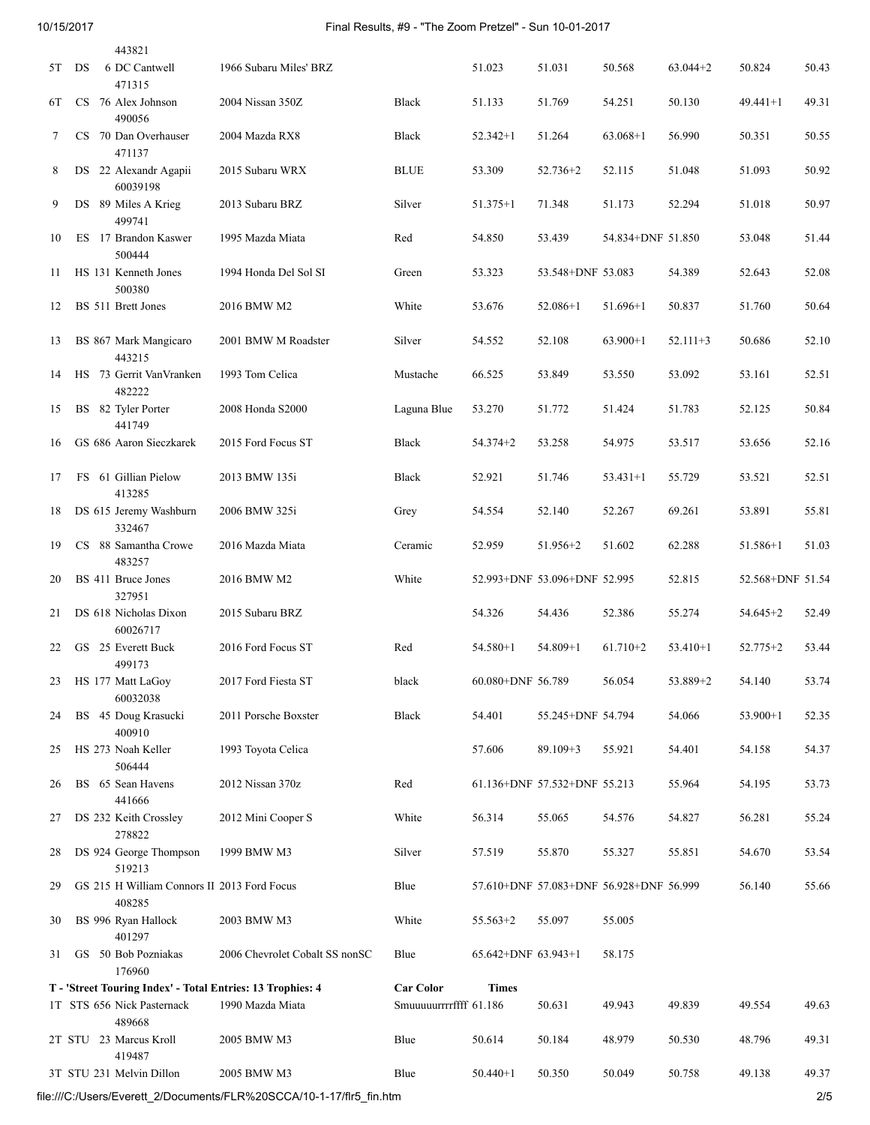## 10/15/2017 Final Results, #9 - "The Zoom Pretzel" - Sun 10-01-2017

|    |    | 443821                                                     |                                |                        |                         |                                         |                   |            |                  |       |
|----|----|------------------------------------------------------------|--------------------------------|------------------------|-------------------------|-----------------------------------------|-------------------|------------|------------------|-------|
| 5T | DS | 6 DC Cantwell<br>471315                                    | 1966 Subaru Miles' BRZ         |                        | 51.023                  | 51.031                                  | 50.568            | $63.044+2$ | 50.824           | 50.43 |
| 6T |    | CS 76 Alex Johnson<br>490056                               | 2004 Nissan 350Z               | Black                  | 51.133                  | 51.769                                  | 54.251            | 50.130     | $49.441 + 1$     | 49.31 |
| 7  |    | CS 70 Dan Overhauser<br>471137                             | 2004 Mazda RX8                 | Black                  | $52.342+1$              | 51.264                                  | $63.068+1$        | 56.990     | 50.351           | 50.55 |
| 8  |    | DS 22 Alexandr Agapii<br>60039198                          | 2015 Subaru WRX                | <b>BLUE</b>            | 53.309                  | $52.736 + 2$                            | 52.115            | 51.048     | 51.093           | 50.92 |
| 9  |    | DS 89 Miles A Krieg<br>499741                              | 2013 Subaru BRZ                | Silver                 | $51.375 + 1$            | 71.348                                  | 51.173            | 52.294     | 51.018           | 50.97 |
| 10 |    | ES 17 Brandon Kaswer<br>500444                             | 1995 Mazda Miata               | Red                    | 54.850                  | 53.439                                  | 54.834+DNF 51.850 |            | 53.048           | 51.44 |
| 11 |    | HS 131 Kenneth Jones<br>500380                             | 1994 Honda Del Sol SI          | Green                  | 53.323                  | 53.548+DNF 53.083                       |                   | 54.389     | 52.643           | 52.08 |
| 12 |    | BS 511 Brett Jones                                         | 2016 BMW M2                    | White                  | 53.676                  | $52.086+1$                              | $51.696+1$        | 50.837     | 51.760           | 50.64 |
| 13 |    | BS 867 Mark Mangicaro<br>443215                            | 2001 BMW M Roadster            | Silver                 | 54.552                  | 52.108                                  | $63.900+1$        | $52.111+3$ | 50.686           | 52.10 |
| 14 |    | HS 73 Gerrit Van Vranken<br>482222                         | 1993 Tom Celica                | Mustache               | 66.525                  | 53.849                                  | 53.550            | 53.092     | 53.161           | 52.51 |
| 15 |    | BS 82 Tyler Porter<br>441749                               | 2008 Honda S2000               | Laguna Blue            | 53.270                  | 51.772                                  | 51.424            | 51.783     | 52.125           | 50.84 |
| 16 |    | GS 686 Aaron Sieczkarek                                    | 2015 Ford Focus ST             | Black                  | $54.374 + 2$            | 53.258                                  | 54.975            | 53.517     | 53.656           | 52.16 |
| 17 |    | FS 61 Gillian Pielow<br>413285                             | 2013 BMW 135i                  | Black                  | 52.921                  | 51.746                                  | $53.431 + 1$      | 55.729     | 53.521           | 52.51 |
| 18 |    | DS 615 Jeremy Washburn<br>332467                           | 2006 BMW 325i                  | Grey                   | 54.554                  | 52.140                                  | 52.267            | 69.261     | 53.891           | 55.81 |
| 19 |    | CS 88 Samantha Crowe<br>483257                             | 2016 Mazda Miata               | Ceramic                | 52.959                  | $51.956 + 2$                            | 51.602            | 62.288     | 51.586+1         | 51.03 |
| 20 |    | BS 411 Bruce Jones<br>327951                               | 2016 BMW M2                    | White                  |                         | 52.993+DNF 53.096+DNF 52.995            |                   | 52.815     | 52.568+DNF 51.54 |       |
| 21 |    | DS 618 Nicholas Dixon<br>60026717                          | 2015 Subaru BRZ                |                        | 54.326                  | 54.436                                  | 52.386            | 55.274     | $54.645 + 2$     | 52.49 |
| 22 |    | GS 25 Everett Buck<br>499173                               | 2016 Ford Focus ST             | Red                    | $54.580 + 1$            | 54.809+1                                | $61.710+2$        | $53.410+1$ | $52.775 + 2$     | 53.44 |
| 23 |    | HS 177 Matt LaGoy<br>60032038                              | 2017 Ford Fiesta ST            | black                  | 60.080+DNF 56.789       |                                         | 56.054            | 53.889+2   | 54.140           | 53.74 |
| 24 |    | BS 45 Doug Krasucki<br>400910                              | 2011 Porsche Boxster           | Black                  | 54.401                  | 55.245+DNF 54.794                       |                   | 54.066     | $53.900+1$       | 52.35 |
| 25 |    | HS 273 Noah Keller<br>506444                               | 1993 Toyota Celica             |                        | 57.606                  | $89.109 + 3$                            | 55.921            | 54.401     | 54.158           | 54.37 |
| 26 |    | BS 65 Sean Havens<br>441666                                | 2012 Nissan 370z               | Red                    |                         | 61.136+DNF 57.532+DNF 55.213            |                   | 55.964     | 54.195           | 53.73 |
| 27 |    | DS 232 Keith Crossley<br>278822                            | 2012 Mini Cooper S             | White                  | 56.314                  | 55.065                                  | 54.576            | 54.827     | 56.281           | 55.24 |
| 28 |    | DS 924 George Thompson<br>519213                           | 1999 BMW M3                    | Silver                 | 57.519                  | 55.870                                  | 55.327            | 55.851     | 54.670           | 53.54 |
| 29 |    | GS 215 H William Connors II 2013 Ford Focus<br>408285      |                                | Blue                   |                         | 57.610+DNF 57.083+DNF 56.928+DNF 56.999 |                   |            | 56.140           | 55.66 |
| 30 |    | BS 996 Ryan Hallock<br>401297                              | 2003 BMW M3                    | White                  | $55.563+2$              | 55.097                                  | 55.005            |            |                  |       |
| 31 |    | GS 50 Bob Pozniakas<br>176960                              | 2006 Chevrolet Cobalt SS nonSC | Blue                   | $65.642+DNF$ $63.943+1$ |                                         | 58.175            |            |                  |       |
|    |    | T - 'Street Touring Index' - Total Entries: 13 Trophies: 4 |                                | <b>Car Color</b>       | <b>Times</b>            |                                         |                   |            |                  |       |
|    |    | 1T STS 656 Nick Pasternack<br>489668                       | 1990 Mazda Miata               | Smuuuuurrrrffff 61.186 |                         | 50.631                                  | 49.943            | 49.839     | 49.554           | 49.63 |
|    |    | 2T STU 23 Marcus Kroll<br>419487                           | 2005 BMW M3                    | Blue                   | 50.614                  | 50.184                                  | 48.979            | 50.530     | 48.796           | 49.31 |
|    |    | 3T STU 231 Melvin Dillon                                   | 2005 BMW M3                    | Blue                   | $50.440 + 1$            | 50.350                                  | 50.049            | 50.758     | 49.138           | 49.37 |

file:///C:/Users/Everett\_2/Documents/FLR%20SCCA/10-1-17/flr5\_fin.htm 2/5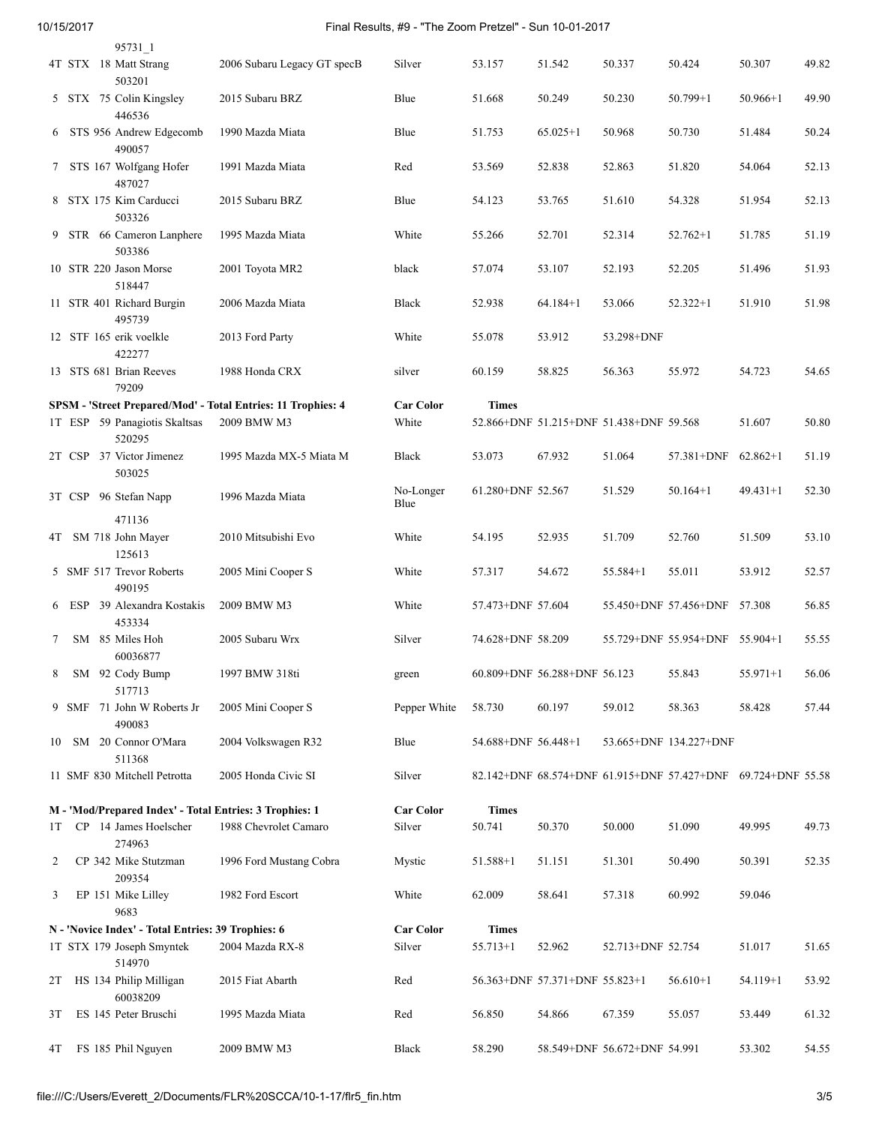| 10/15/2017 |  |  |
|------------|--|--|
|            |  |  |

## 10/15/2017 Final Results, #9 - "The Zoom Pretzel" - Sun 10-01-2017

|    |  | 95731 1                                                 |                                                              |                   |                     |                                |                                         |                                                              |              |       |
|----|--|---------------------------------------------------------|--------------------------------------------------------------|-------------------|---------------------|--------------------------------|-----------------------------------------|--------------------------------------------------------------|--------------|-------|
|    |  | 4T STX 18 Matt Strang<br>503201                         | 2006 Subaru Legacy GT specB                                  | Silver            | 53.157              | 51.542                         | 50.337                                  | 50.424                                                       | 50.307       | 49.82 |
|    |  | 5 STX 75 Colin Kingsley<br>446536                       | 2015 Subaru BRZ                                              | Blue              | 51.668              | 50.249                         | 50.230                                  | $50.799 + 1$                                                 | $50.966+1$   | 49.90 |
| 6  |  | STS 956 Andrew Edgecomb<br>490057                       | 1990 Mazda Miata                                             | Blue              | 51.753              | $65.025 + 1$                   | 50.968                                  | 50.730                                                       | 51.484       | 50.24 |
| 7  |  | STS 167 Wolfgang Hofer<br>487027                        | 1991 Mazda Miata                                             | Red               | 53.569              | 52.838                         | 52.863                                  | 51.820                                                       | 54.064       | 52.13 |
|    |  | 8 STX 175 Kim Carducci<br>503326                        | 2015 Subaru BRZ                                              | Blue              | 54.123              | 53.765                         | 51.610                                  | 54.328                                                       | 51.954       | 52.13 |
|    |  | 9 STR 66 Cameron Lanphere<br>503386                     | 1995 Mazda Miata                                             | White             | 55.266              | 52.701                         | 52.314                                  | $52.762+1$                                                   | 51.785       | 51.19 |
|    |  | 10 STR 220 Jason Morse<br>518447                        | 2001 Toyota MR2                                              | black             | 57.074              | 53.107                         | 52.193                                  | 52.205                                                       | 51.496       | 51.93 |
|    |  | 11 STR 401 Richard Burgin<br>495739                     | 2006 Mazda Miata                                             | Black             | 52.938              | $64.184 + 1$                   | 53.066                                  | $52.322 + 1$                                                 | 51.910       | 51.98 |
|    |  | 12 STF 165 erik voelkle<br>422277                       | 2013 Ford Party                                              | White             | 55.078              | 53.912                         | 53.298+DNF                              |                                                              |              |       |
|    |  | 13 STS 681 Brian Reeves<br>79209                        | 1988 Honda CRX                                               | silver            | 60.159              | 58.825                         | 56.363                                  | 55.972                                                       | 54.723       | 54.65 |
|    |  |                                                         | SPSM - 'Street Prepared/Mod' - Total Entries: 11 Trophies: 4 | <b>Car Color</b>  | <b>Times</b>        |                                |                                         |                                                              |              |       |
|    |  | 1T ESP 59 Panagiotis Skaltsas<br>520295                 | 2009 BMW M3                                                  | White             |                     |                                | 52.866+DNF 51.215+DNF 51.438+DNF 59.568 |                                                              | 51.607       | 50.80 |
|    |  | 2T CSP 37 Victor Jimenez<br>503025                      | 1995 Mazda MX-5 Miata M                                      | Black             | 53.073              | 67.932                         | 51.064                                  | 57.381+DNF                                                   | $62.862+1$   | 51.19 |
|    |  | 3T CSP 96 Stefan Napp                                   | 1996 Mazda Miata                                             | No-Longer<br>Blue | 61.280+DNF 52.567   |                                | 51.529                                  | $50.164 + 1$                                                 | $49.431 + 1$ | 52.30 |
|    |  | 471136                                                  |                                                              |                   |                     |                                |                                         |                                                              |              |       |
|    |  | 4T SM 718 John Mayer<br>125613                          | 2010 Mitsubishi Evo                                          | White             | 54.195              | 52.935                         | 51.709                                  | 52.760                                                       | 51.509       | 53.10 |
|    |  | 5 SMF 517 Trevor Roberts<br>490195                      | 2005 Mini Cooper S                                           | White             | 57.317              | 54.672                         | $55.584 + 1$                            | 55.011                                                       | 53.912       | 52.57 |
|    |  | 6 ESP 39 Alexandra Kostakis<br>453334                   | 2009 BMW M3                                                  | White             | 57.473+DNF 57.604   |                                |                                         | 55.450+DNF 57.456+DNF 57.308                                 |              | 56.85 |
| 7  |  | SM 85 Miles Hoh<br>60036877                             | 2005 Subaru Wrx                                              | Silver            | 74.628+DNF 58.209   |                                |                                         | 55.729+DNF 55.954+DNF 55.904+1                               |              | 55.55 |
| 8  |  | SM 92 Cody Bump<br>517713                               | 1997 BMW 318ti                                               | green             |                     | 60.809+DNF 56.288+DNF 56.123   |                                         | 55.843                                                       | $55.971 + 1$ | 56.06 |
|    |  | 9 SMF 71 John W Roberts Jr<br>490083                    | 2005 Mini Cooper S                                           | Pepper White      | 58.730              | 60.197                         | 59.012                                  | 58.363                                                       | 58.428       | 57.44 |
| 10 |  | SM 20 Connor O'Mara<br>511368                           | 2004 Volkswagen R32                                          | Blue              | 54.688+DNF 56.448+1 |                                |                                         | 53.665+DNF 134.227+DNF                                       |              |       |
|    |  | 11 SMF 830 Mitchell Petrotta                            | 2005 Honda Civic SI                                          | Silver            |                     |                                |                                         | 82.142+DNF 68.574+DNF 61.915+DNF 57.427+DNF 69.724+DNF 55.58 |              |       |
|    |  | M - 'Mod/Prepared Index' - Total Entries: 3 Trophies: 1 |                                                              | <b>Car Color</b>  | <b>Times</b>        |                                |                                         |                                                              |              |       |
| 1T |  | CP 14 James Hoelscher<br>274963                         | 1988 Chevrolet Camaro                                        | Silver            | 50.741              | 50.370                         | 50.000                                  | 51.090                                                       | 49.995       | 49.73 |
| 2  |  | CP 342 Mike Stutzman<br>209354                          | 1996 Ford Mustang Cobra                                      | Mystic            | 51.588+1            | 51.151                         | 51.301                                  | 50.490                                                       | 50.391       | 52.35 |
| 3  |  | EP 151 Mike Lilley<br>9683                              | 1982 Ford Escort                                             | White             | 62.009              | 58.641                         | 57.318                                  | 60.992                                                       | 59.046       |       |
|    |  | N - 'Novice Index' - Total Entries: 39 Trophies: 6      |                                                              | <b>Car Color</b>  | <b>Times</b>        |                                |                                         |                                                              |              |       |
|    |  | 1T STX 179 Joseph Smyntek<br>514970                     | 2004 Mazda RX-8                                              | Silver            | $55.713 + 1$        | 52.962                         | 52.713+DNF 52.754                       |                                                              | 51.017       | 51.65 |
| 2T |  | HS 134 Philip Milligan<br>60038209                      | 2015 Fiat Abarth                                             | Red               |                     | 56.363+DNF 57.371+DNF 55.823+1 |                                         | $56.610+1$                                                   | $54.119 + 1$ | 53.92 |
| 3T |  | ES 145 Peter Bruschi                                    | 1995 Mazda Miata                                             | Red               | 56.850              | 54.866                         | 67.359                                  | 55.057                                                       | 53.449       | 61.32 |
| 4T |  | FS 185 Phil Nguyen                                      | 2009 BMW M3                                                  | Black             | 58.290              |                                | 58.549+DNF 56.672+DNF 54.991            |                                                              | 53.302       | 54.55 |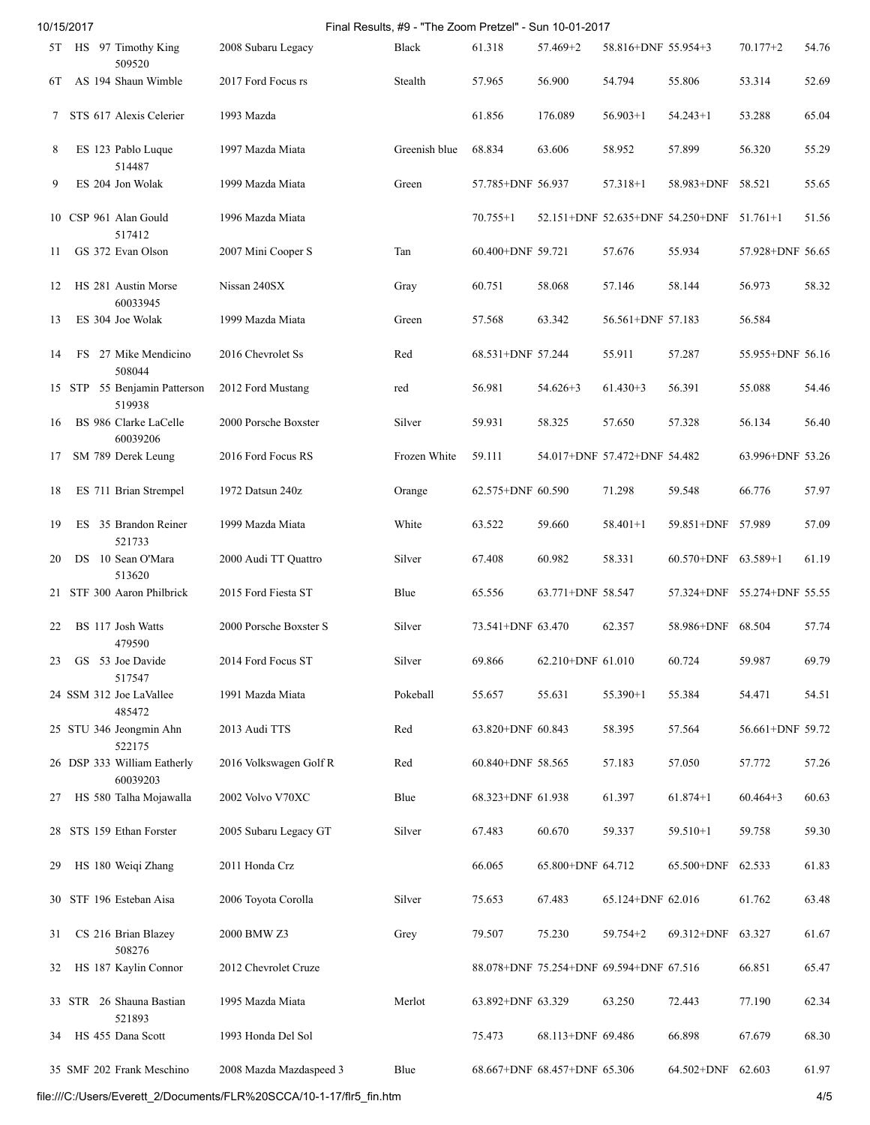| Final Results, #9 - "The Zoom Pretzel" - Sun 10-01-2017<br>10/15/2017 |  |  |                                         |                         |               |                   |                                         |                              |                                  |                  |       |
|-----------------------------------------------------------------------|--|--|-----------------------------------------|-------------------------|---------------|-------------------|-----------------------------------------|------------------------------|----------------------------------|------------------|-------|
|                                                                       |  |  | 5T HS 97 Timothy King<br>509520         | 2008 Subaru Legacy      | Black         | 61.318            | 57.469+2                                | 58.816+DNF 55.954+3          |                                  | $70.177 + 2$     | 54.76 |
| 6Т                                                                    |  |  | AS 194 Shaun Wimble                     | 2017 Ford Focus rs      | Stealth       | 57.965            | 56.900                                  | 54.794                       | 55.806                           | 53.314           | 52.69 |
| 7                                                                     |  |  | STS 617 Alexis Celerier                 | 1993 Mazda              |               | 61.856            | 176.089                                 | $56.903+1$                   | $54.243+1$                       | 53.288           | 65.04 |
| 8                                                                     |  |  | ES 123 Pablo Luque<br>514487            | 1997 Mazda Miata        | Greenish blue | 68.834            | 63.606                                  | 58.952                       | 57.899                           | 56.320           | 55.29 |
| 9                                                                     |  |  | ES 204 Jon Wolak                        | 1999 Mazda Miata        | Green         | 57.785+DNF 56.937 |                                         | $57.318 + 1$                 | 58.983+DNF                       | 58.521           | 55.65 |
|                                                                       |  |  | 10 CSP 961 Alan Gould<br>517412         | 1996 Mazda Miata        |               | $70.755 + 1$      |                                         |                              | 52.151+DNF 52.635+DNF 54.250+DNF | $51.761+1$       | 51.56 |
| 11                                                                    |  |  | GS 372 Evan Olson                       | 2007 Mini Cooper S      | Tan           | 60.400+DNF 59.721 |                                         | 57.676                       | 55.934                           | 57.928+DNF 56.65 |       |
| 12                                                                    |  |  | HS 281 Austin Morse<br>60033945         | Nissan 240SX            | Gray          | 60.751            | 58.068                                  | 57.146                       | 58.144                           | 56.973           | 58.32 |
| 13                                                                    |  |  | ES 304 Joe Wolak                        | 1999 Mazda Miata        | Green         | 57.568            | 63.342                                  | 56.561+DNF 57.183            |                                  | 56.584           |       |
| 14                                                                    |  |  | FS 27 Mike Mendicino<br>508044          | 2016 Chevrolet Ss       | Red           | 68.531+DNF 57.244 |                                         | 55.911                       | 57.287                           | 55.955+DNF 56.16 |       |
|                                                                       |  |  | 15 STP 55 Benjamin Patterson<br>519938  | 2012 Ford Mustang       | red           | 56.981            | $54.626 + 3$                            | $61.430 + 3$                 | 56.391                           | 55.088           | 54.46 |
| 16                                                                    |  |  | BS 986 Clarke LaCelle<br>60039206       | 2000 Porsche Boxster    | Silver        | 59.931            | 58.325                                  | 57.650                       | 57.328                           | 56.134           | 56.40 |
| 17                                                                    |  |  | SM 789 Derek Leung                      | 2016 Ford Focus RS      | Frozen White  | 59.111            |                                         | 54.017+DNF 57.472+DNF 54.482 |                                  | 63.996+DNF 53.26 |       |
| 18                                                                    |  |  | ES 711 Brian Strempel                   | 1972 Datsun 240z        | Orange        | 62.575+DNF 60.590 |                                         | 71.298                       | 59.548                           | 66.776           | 57.97 |
| 19                                                                    |  |  | ES 35 Brandon Reiner<br>521733          | 1999 Mazda Miata        | White         | 63.522            | 59.660                                  | $58.401 + 1$                 | 59.851+DNF 57.989                |                  | 57.09 |
| 20                                                                    |  |  | DS 10 Sean O'Mara<br>513620             | 2000 Audi TT Quattro    | Silver        | 67.408            | 60.982                                  | 58.331                       | 60.570+DNF 63.589+1              |                  | 61.19 |
|                                                                       |  |  | 21 STF 300 Aaron Philbrick              | 2015 Ford Fiesta ST     | Blue          | 65.556            | 63.771+DNF 58.547                       |                              | 57.324+DNF 55.274+DNF 55.55      |                  |       |
| 22                                                                    |  |  | BS 117 Josh Watts<br>479590             | 2000 Porsche Boxster S  | Silver        | 73.541+DNF 63.470 |                                         | 62.357                       | 58.986+DNF                       | 68.504           | 57.74 |
| 23                                                                    |  |  | GS 53 Joe Davide<br>517547              | 2014 Ford Focus ST      | Silver        | 69.866            | 62.210+DNF 61.010                       |                              | 60.724                           | 59.987           | 69.79 |
|                                                                       |  |  | 24 SSM 312 Joe LaVallee<br>485472       | 1991 Mazda Miata        | Pokeball      | 55.657            | 55.631                                  | $55.390+1$                   | 55.384                           | 54.471           | 54.51 |
|                                                                       |  |  | 25 STU 346 Jeongmin Ahn<br>522175       | 2013 Audi TTS           | Red           | 63.820+DNF 60.843 |                                         | 58.395                       | 57.564                           | 56.661+DNF 59.72 |       |
|                                                                       |  |  | 26 DSP 333 William Eatherly<br>60039203 | 2016 Volkswagen Golf R  | Red           | 60.840+DNF 58.565 |                                         | 57.183                       | 57.050                           | 57.772           | 57.26 |
| 27                                                                    |  |  | HS 580 Talha Mojawalla                  | 2002 Volvo V70XC        | Blue          | 68.323+DNF 61.938 |                                         | 61.397                       | $61.874+1$                       | $60.464 + 3$     | 60.63 |
| 28                                                                    |  |  | STS 159 Ethan Forster                   | 2005 Subaru Legacy GT   | Silver        | 67.483            | 60.670                                  | 59.337                       | $59.510 + 1$                     | 59.758           | 59.30 |
| 29                                                                    |  |  | HS 180 Weiqi Zhang                      | 2011 Honda Crz          |               | 66.065            | 65.800+DNF 64.712                       |                              | 65.500+DNF                       | 62.533           | 61.83 |
| 30                                                                    |  |  | STF 196 Esteban Aisa                    | 2006 Toyota Corolla     | Silver        | 75.653            | 67.483                                  | 65.124+DNF 62.016            |                                  | 61.762           | 63.48 |
| 31                                                                    |  |  | CS 216 Brian Blazey<br>508276           | 2000 BMW Z3             | Grey          | 79.507            | 75.230                                  | $59.754 + 2$                 | 69.312+DNF                       | 63.327           | 61.67 |
| 32                                                                    |  |  | HS 187 Kaylin Connor                    | 2012 Chevrolet Cruze    |               |                   | 88.078+DNF 75.254+DNF 69.594+DNF 67.516 |                              |                                  | 66.851           | 65.47 |
|                                                                       |  |  | 33 STR 26 Shauna Bastian<br>521893      | 1995 Mazda Miata        | Merlot        | 63.892+DNF 63.329 |                                         | 63.250                       | 72.443                           | 77.190           | 62.34 |
| 34                                                                    |  |  | HS 455 Dana Scott                       | 1993 Honda Del Sol      |               | 75.473            | 68.113+DNF 69.486                       |                              | 66.898                           | 67.679           | 68.30 |
|                                                                       |  |  | 35 SMF 202 Frank Meschino               | 2008 Mazda Mazdaspeed 3 | Blue          |                   | 68.667+DNF 68.457+DNF 65.306            |                              | 64.502+DNF                       | 62.603           | 61.97 |

file:///C:/Users/Everett\_2/Documents/FLR%20SCCA/10-1-17/flr5\_fin.htm 4/5